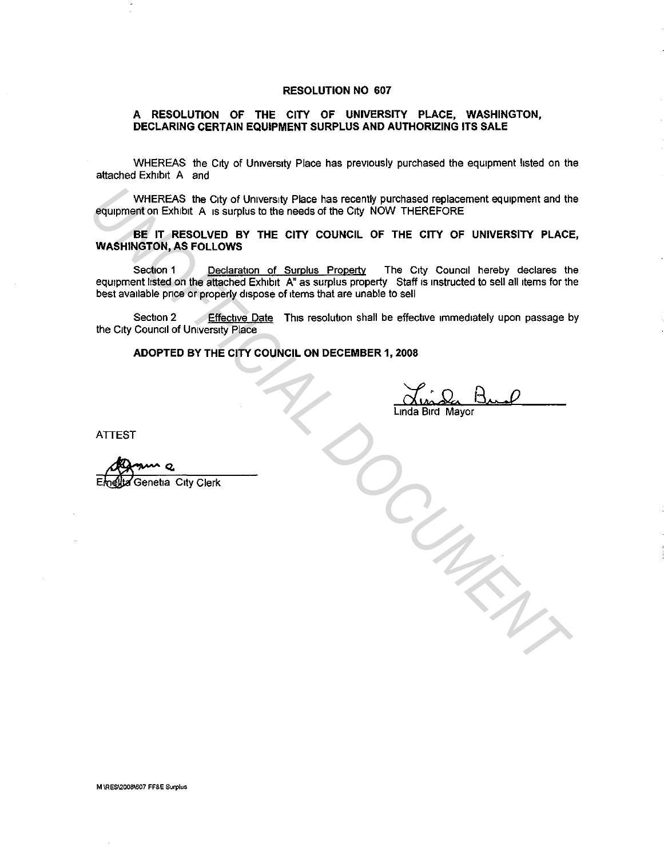## **RESOLUTION NO 607**

## **A RESOLUTION OF THE CITY OF UNIVERSITY PLACE, WASHINGTON, DECLARING CERTAIN EQUIPMENT SURPLUS AND AUTHORIZING ITS SALE**

WHEREAS the City of University Place has previously purchased the equipment hsted on the attached Exhibit A and

WHEREAS the City of University Place has recently purchased replacement equipment and the equipment on Exhibit A is surplus to the needs of the City NOW THEREFORE

**BE IT RESOLVED BY THE CITY COUNCIL OF THE CITY OF UNIVERSITY PLACE, WASHINGTON, AS FOLLOWS** 

Section 1 Declaration of Surplus Property The City Council hereby declares the equipment listed on the attached Exhibit A" as surplus property Staff is instructed to sell all items for the best available price or properly dispose of items that are unable to sell WHEREAS the City of University Place has recently purchased replacement equipment and the<br> **UNASHINGTON, AS FOLLOWS**<br>
Section 1<br>
WASHINGTON, AS FOLLOWS<br>
Section 1<br>
UNASHINGTON, AS FOLLOWS<br>
Section 2<br>
Section 2<br>
EREAL DOCUM

Section 2 Effective Date This resolution shall be effective immediately upon passage by the City Council of University Place

**ADOPTED BY THE CITY COUNCIL ON DECEMBER 1, 2008** 

dv.:n. 13 .. *.* o

Linda Bird Mayor

**ATTEST** 

**M \RES\2008\607 FF&E Surplus**